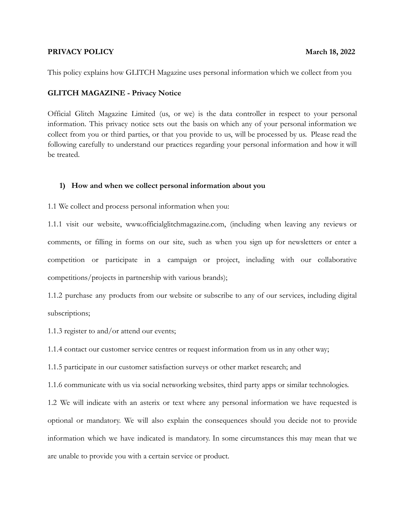# **PRIVACY POLICY March 18, 2022**

This policy explains how GLITCH Magazine uses personal information which we collect from you

# **GLITCH MAGAZINE - Privacy Notice**

Official Glitch Magazine Limited (us, or we) is the data controller in respect to your personal information. This privacy notice sets out the basis on which any of your personal information we collect from you or third parties, or that you provide to us, will be processed by us. Please read the following carefully to understand our practices regarding your personal information and how it will be treated.

# **1) How and when we collect personal information about you**

1.1 We collect and process personal information when you:

1.1.1 visit our website, www.officialglitchmagazine.com, (including when leaving any reviews or comments, or filling in forms on our site, such as when you sign up for newsletters or enter a competition or participate in a campaign or project, including with our collaborative competitions/projects in partnership with various brands);

1.1.2 purchase any products from our website or subscribe to any of our services, including digital subscriptions;

1.1.3 register to and/or attend our events;

1.1.4 contact our customer service centres or request information from us in any other way;

1.1.5 participate in our customer satisfaction surveys or other market research; and

1.1.6 communicate with us via social networking websites, third party apps or similar technologies.

1.2 We will indicate with an asterix or text where any personal information we have requested is optional or mandatory. We will also explain the consequences should you decide not to provide information which we have indicated is mandatory. In some circumstances this may mean that we are unable to provide you with a certain service or product.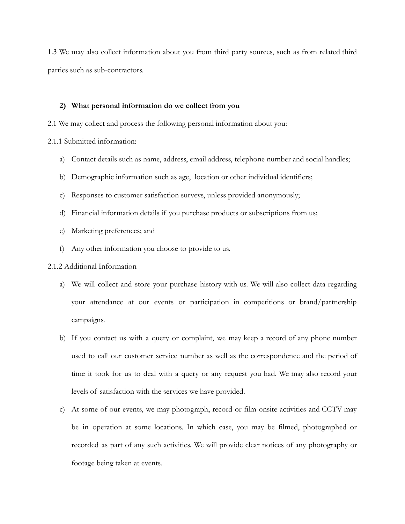1.3 We may also collect information about you from third party sources, such as from related third parties such as sub-contractors.

## **2) What personal information do we collect from you**

2.1 We may collect and process the following personal information about you:

2.1.1 Submitted information:

- a) Contact details such as name, address, email address, telephone number and social handles;
- b) Demographic information such as age, location or other individual identifiers;
- c) Responses to customer satisfaction surveys, unless provided anonymously;
- d) Financial information details if you purchase products or subscriptions from us;
- e) Marketing preferences; and
- f) Any other information you choose to provide to us.

## 2.1.2 Additional Information

- a) We will collect and store your purchase history with us. We will also collect data regarding your attendance at our events or participation in competitions or brand/partnership campaigns.
- b) If you contact us with a query or complaint, we may keep a record of any phone number used to call our customer service number as well as the correspondence and the period of time it took for us to deal with a query or any request you had. We may also record your levels of satisfaction with the services we have provided.
- c) At some of our events, we may photograph, record or film onsite activities and CCTV may be in operation at some locations. In which case, you may be filmed, photographed or recorded as part of any such activities. We will provide clear notices of any photography or footage being taken at events.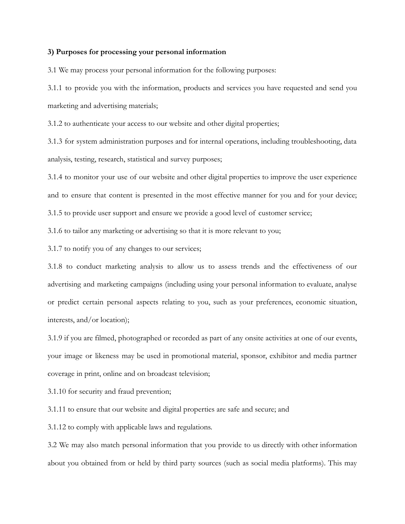## **3) Purposes for processing your personal information**

3.1 We may process your personal information for the following purposes:

3.1.1 to provide you with the information, products and services you have requested and send you marketing and advertising materials;

3.1.2 to authenticate your access to our website and other digital properties;

3.1.3 for system administration purposes and for internal operations, including troubleshooting, data analysis, testing, research, statistical and survey purposes;

3.1.4 to monitor your use of our website and other digital properties to improve the user experience and to ensure that content is presented in the most effective manner for you and for your device; 3.1.5 to provide user support and ensure we provide a good level of customer service;

3.1.6 to tailor any marketing or advertising so that it is more relevant to you;

3.1.7 to notify you of any changes to our services;

3.1.8 to conduct marketing analysis to allow us to assess trends and the effectiveness of our advertising and marketing campaigns (including using your personal information to evaluate, analyse or predict certain personal aspects relating to you, such as your preferences, economic situation, interests, and/or location);

3.1.9 if you are filmed, photographed or recorded as part of any onsite activities at one of our events, your image or likeness may be used in promotional material, sponsor, exhibitor and media partner coverage in print, online and on broadcast television;

3.1.10 for security and fraud prevention;

3.1.11 to ensure that our website and digital properties are safe and secure; and

3.1.12 to comply with applicable laws and regulations.

3.2 We may also match personal information that you provide to us directly with other information about you obtained from or held by third party sources (such as social media platforms). This may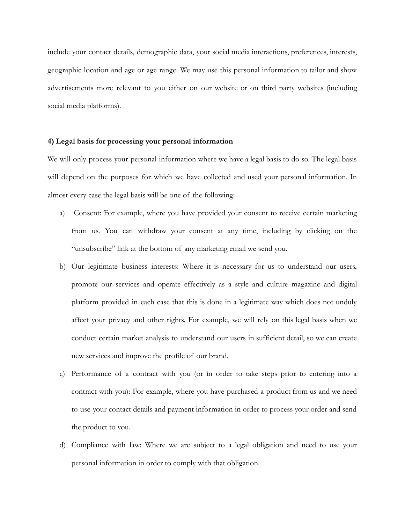include your contact details, demographic data, your social media interactions, preferences, interests, geographic location and age or age range. We may use this personal information to tailor and show advertisements more relevant to you either on our website or on third party websites (including social media platforms).

## **4) Legal basis for processing your personal information**

We will only process your personal information where we have a legal basis to do so. The legal basis will depend on the purposes for which we have collected and used your personal information. In almost every case the legal basis will be one of the following:

- a) Consent: For example, where you have provided your consent to receive certain marketing from us. You can withdraw your consent at any time, including by clicking on the "unsubscribe" link at the bottom of any marketing email we send you.
- b) Our legitimate business interests: Where it is necessary for us to understand our users, promote our services and operate effectively as a style and culture magazine and digital platform provided in each case that this is done in a legitimate way which does not unduly affect your privacy and other rights. For example, we will rely on this legal basis when we conduct certain market analysis to understand our users in sufficient detail, so we can create new services and improve the profile of our brand.
- c) Performance of a contract with you (or in order to take steps prior to entering into a contract with you): For example, where you have purchased a product from us and we need to use your contact details and payment information in order to process your order and send the product to you.
- d) Compliance with law: Where we are subject to a legal obligation and need to use your personal information in order to comply with that obligation.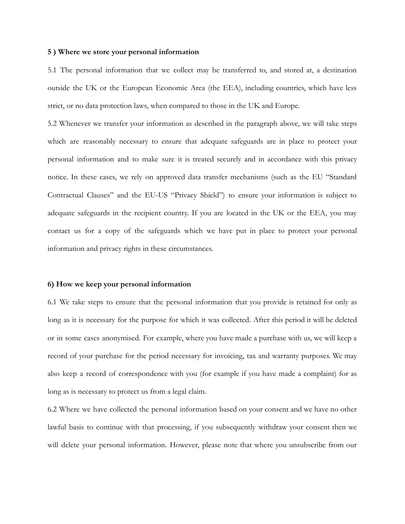#### **5 ) Where we store your personal information**

5.1 The personal information that we collect may be transferred to, and stored at, a destination outside the UK or the European Economic Area (the EEA), including countries, which have less strict, or no data protection laws, when compared to those in the UK and Europe.

5.2 Whenever we transfer your information as described in the paragraph above, we will take steps which are reasonably necessary to ensure that adequate safeguards are in place to protect your personal information and to make sure it is treated securely and in accordance with this privacy notice. In these cases, we rely on approved data transfer mechanisms (such as the EU "Standard Contractual Clauses" and the EU-US "Privacy Shield") to ensure your information is subject to adequate safeguards in the recipient country. If you are located in the UK or the EEA, you may contact us for a copy of the safeguards which we have put in place to protect your personal information and privacy rights in these circumstances.

#### **6) How we keep your personal information**

6.1 We take steps to ensure that the personal information that you provide is retained for only as long as it is necessary for the purpose for which it was collected. After this period it will be deleted or in some cases anonymised. For example, where you have made a purchase with us, we will keep a record of your purchase for the period necessary for invoicing, tax and warranty purposes. We may also keep a record of correspondence with you (for example if you have made a complaint) for as long as is necessary to protect us from a legal claim.

6.2 Where we have collected the personal information based on your consent and we have no other lawful basis to continue with that processing, if you subsequently withdraw your consent then we will delete your personal information. However, please note that where you unsubscribe from our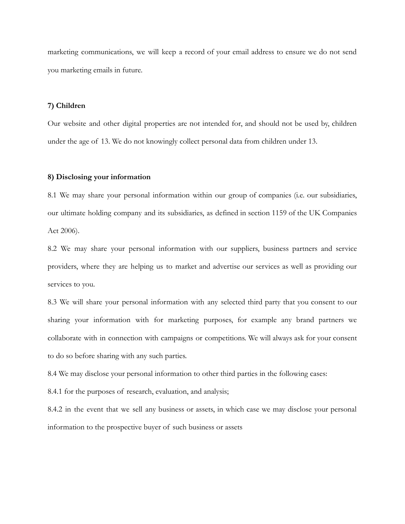marketing communications, we will keep a record of your email address to ensure we do not send you marketing emails in future.

## **7) Children**

Our website and other digital properties are not intended for, and should not be used by, children under the age of 13. We do not knowingly collect personal data from children under 13.

## **8) Disclosing your information**

8.1 We may share your personal information within our group of companies (i.e. our subsidiaries, our ultimate holding company and its subsidiaries, as defined in section 1159 of the UK Companies Act 2006).

8.2 We may share your personal information with our suppliers, business partners and service providers, where they are helping us to market and advertise our services as well as providing our services to you.

8.3 We will share your personal information with any selected third party that you consent to our sharing your information with for marketing purposes, for example any brand partners we collaborate with in connection with campaigns or competitions. We will always ask for your consent to do so before sharing with any such parties.

8.4 We may disclose your personal information to other third parties in the following cases:

8.4.1 for the purposes of research, evaluation, and analysis;

8.4.2 in the event that we sell any business or assets, in which case we may disclose your personal information to the prospective buyer of such business or assets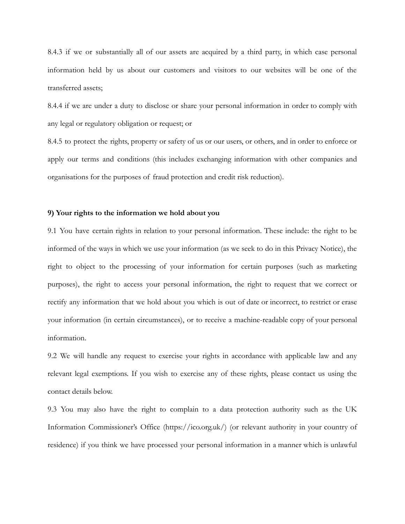8.4.3 if we or substantially all of our assets are acquired by a third party, in which case personal information held by us about our customers and visitors to our websites will be one of the transferred assets;

8.4.4 if we are under a duty to disclose or share your personal information in order to comply with any legal or regulatory obligation or request; or

8.4.5 to protect the rights, property or safety of us or our users, or others, and in order to enforce or apply our terms and conditions (this includes exchanging information with other companies and organisations for the purposes of fraud protection and credit risk reduction).

## **9) Your rights to the information we hold about you**

9.1 You have certain rights in relation to your personal information. These include: the right to be informed of the ways in which we use your information (as we seek to do in this Privacy Notice), the right to object to the processing of your information for certain purposes (such as marketing purposes), the right to access your personal information, the right to request that we correct or rectify any information that we hold about you which is out of date or incorrect, to restrict or erase your information (in certain circumstances), or to receive a machine-readable copy of your personal information.

9.2 We will handle any request to exercise your rights in accordance with applicable law and any relevant legal exemptions. If you wish to exercise any of these rights, please contact us using the contact details below.

9.3 You may also have the right to complain to a data protection authority such as the UK Information Commissioner's Office (https://ico.org.uk/) (or relevant authority in your country of residence) if you think we have processed your personal information in a manner which is unlawful